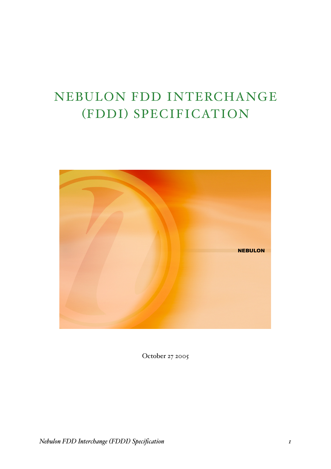# NEBULON FDD INTERCHANGE (FDDI) SPECIFICATION



October 27 2005

*Nebulon FDD Interchange (FDDI) Specification 1*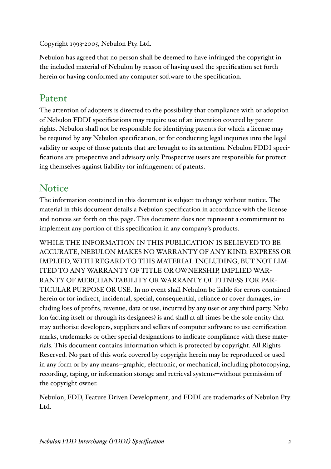Copyright 1993-2005, Nebulon Pty. Ltd.

Nebulon has agreed that no person shall be deemed to have infringed the copyright in the included material of Nebulon by reason of having used the specification set forth herein or having conformed any computer software to the specification.

## Patent

The attention of adopters is directed to the possibility that compliance with or adoption of Nebulon FDDI specifications may require use of an invention covered by patent rights. Nebulon shall not be responsible for identifying patents for which a license may be required by any Nebulon specification, or for conducting legal inquiries into the legal validity or scope of those patents that are brought to its attention. Nebulon FDDI specifications are prospective and advisory only. Prospective users are responsible for protecting themselves against liability for infringement of patents.

## **Notice**

The information contained in this document is subject to change without notice. The material in this document details a Nebulon specification in accordance with the license and notices set forth on this page. This document does not represent a commitment to implement any portion of this specification in any company's products.

WHILE THE INFORMATION IN THIS PUBLICATION IS BELIEVED TO BE ACCURATE, NEBULON MAKES NO WARRANTY OF ANY KIND, EXPRESS OR IMPLIED, WITH REGARD TO THIS MATERIAL INCLUDING, BUT NOT LIM-ITED TO ANYWARRANTY OF TITLE OR OWNERSHIP, IMPLIED WAR-RANTY OF MERCHANTABILITY ORWARRANTY OF FITNESS FOR PAR-TICULAR PURPOSE OR USE. In no event shall Nebulon be liable for errors contained herein or for indirect, incidental, special, consequential, reliance or cover damages, including loss of profits, revenue, data or use, incurred by any user or any third party. Nebulon (acting itself or through its designees) is and shall at all times be the sole entity that may authorise developers, suppliers and sellers of computer software to use certification marks, trademarks or other special designations to indicate compliance with these materials. This document contains information which is protected by copyright. All Rights Reserved. No part of this work covered by copyright herein may be reproduced or used in any form or by any means--graphic, electronic, or mechanical, including photocopying, recording, taping, or information storage and retrieval systems--without permission of the copyright owner.

Nebulon, FDD, Feature Driven Development, and FDDI are trademarks of Nebulon Pty. Ltd.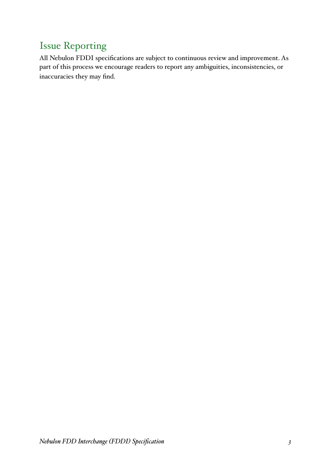## Issue Reporting

All Nebulon FDDI specifications are subject to continuous review and improvement. As part of this process we encourage readers to report any ambiguities, inconsistencies, or inaccuracies they may find.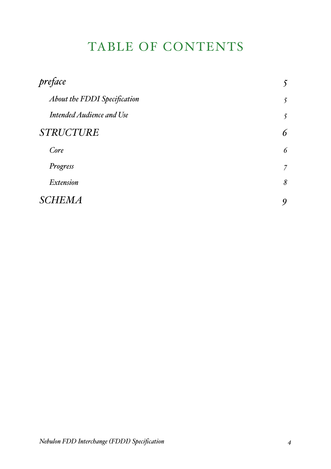## TABLE OF CONTENTS

| preface                             | $\mathcal{S}$  |
|-------------------------------------|----------------|
| <b>About the FDDI Specification</b> | 5              |
| <b>Intended Audience and Use</b>    | 5              |
| <b>STRUCTURE</b>                    | 6              |
| Core                                | 6              |
| Progress                            | $\overline{7}$ |
| <b>Extension</b>                    | $\delta$       |
| <b>SCHEMA</b>                       | 9              |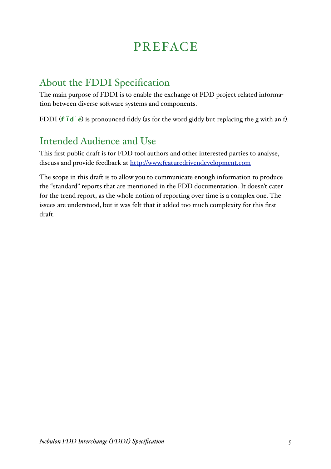## PREFACE

### About the FDDI Specification

The main purpose of FDDI is to enable the exchange of FDD project related information between diverse software systems and components.

FDDI (**f**  $\mathbf{i} \mathbf{d} \cdot \mathbf{e}$ ) is pronounced fiddy (as for the word giddy but replacing the g with an f).

## Intended Audience and Use

This first public draft is for FDD tool authors and other interested parties to analyse, discuss and provide feedback at http://www.featuredrivendevelopment.com

The scope in this draft is to allow you to communicate enough information to produce the "standard" reports that are mentioned in the FDD documentation. It doesn't cater for the trend report, as the whole notion of reporting over time is a complex one. The issues are understood, but it was felt that it added too much complexity for this first draft.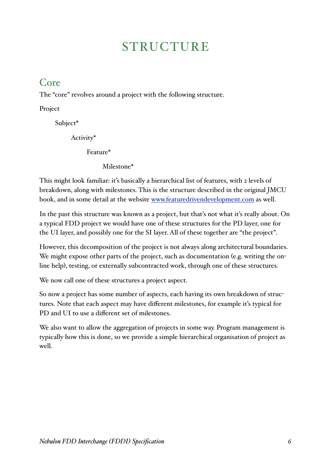## **STRUCTURE**

#### Core

The "core" revolves around a project with the following structure.

Project

Subject\*

Activity\*

Feature\*

Milestone\*

This might look familiar: it's basically a hierarchical list of features, with 2 levels of breakdown, along with milestones. This is the structure described in the original JMCU book, and in some detail at the website www.featuredrivendevelopment.com as well.

In the past this structure was known as a project, but that's not what it's really about. On a typical FDD project we would have one of these structures for the PD layer, one for the UI layer, and possibly one for the SI layer. All of these together are "the project".

However, this decomposition of the project is not always along architectural boundaries. We might expose other parts of the project, such as documentation (e.g. writing the online help), testing, or externally subcontracted work, through one of these structures.

We now call one of these structures a project aspect.

So now a project has some number of aspects, each having its own breakdown of structures. Note that each aspect may have different milestones, for example it's typical for PD and UI to use a different set of milestones.

We also want to allow the aggregation of projects in some way. Program management is typically how this is done, so we provide a simple hierarchical organisation of project as well.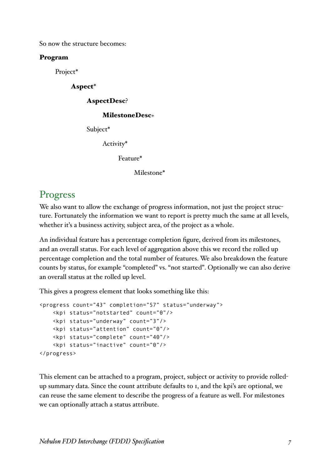So now the structure becomes:

#### Program

Project\*

Aspect\*

AspectDesc?

#### MilestoneDesc+

Subject\*

Activity\*

Feature\*

Milestone\*

#### Progress

We also want to allow the exchange of progress information, not just the project structure. Fortunately the information we want to report is pretty much the same at all levels, whether it's a business activity, subject area, of the project as a whole.

An individual feature has a percentage completion figure, derived from its milestones, and an overall status. For each level of aggregation above this we record the rolled up percentage completion and the total number of features. We also breakdown the feature counts by status, for example "completed" vs. "not started". Optionally we can also derive an overall status at the rolled up level.

This gives a progress element that looks something like this:

```
<progress count="43" completion="57" status="underway">
     <kpi status="notstarted" count="0"/>
     <kpi status="underway" count="3"/>
     <kpi status="attention" count="0"/>
     <kpi status="complete" count="40"/>
     <kpi status="inactive" count="0"/>
</progress>
```
This element can be attached to a program, project, subject or activity to provide rolledup summary data. Since the count attribute defaults to 1, and the kpi's are optional, we can reuse the same element to describe the progress of a feature as well. For milestones we can optionally attach a status attribute.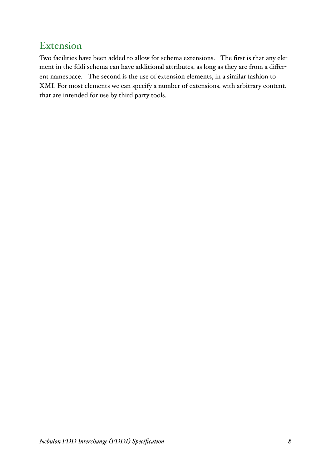### Extension

Two facilities have been added to allow for schema extensions. The first is that any element in the fddi schema can have additional attributes, as long as they are from a different namespace. The second is the use of extension elements, in a similar fashion to XMI. For most elements we can specify a number of extensions, with arbitrary content, that are intended for use by third party tools.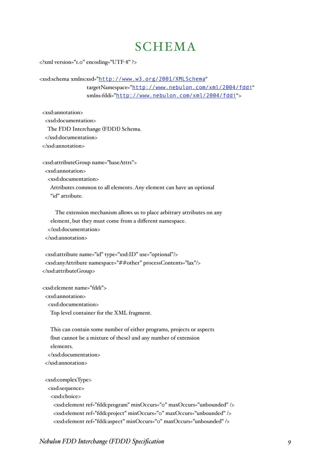## **SCHEMA**

<?xml version="1.0" encoding="UTF-8" ?>

<xsd:schema xmlns:xsd="http://www.w3.org/2001/XMLSchema"

targetNamespace="http://www.nebulon.com/xml/2004/fddi" xmlns:fddi="http://www.nebulon.com/xml/2004/fddi">

 <xsd:annotation> <xsd:documentation> The FDD Interchange (FDDI) Schema. </xsd:documentation> </xsd:annotation>

 <xsd:attributeGroup name="baseAttrs"> <xsd:annotation> <xsd:documentation> Attributes common to all elements. Any element can have an optional "id" attribute.

 The extension mechanism allows us to place arbitrary attributes on any element, but they must come from a different namespace. </xsd:documentation> </xsd:annotation>

```
 <xsd:attribute name="id" type="xsd:ID" use="optional"/>
  <xsd:anyAttribute namespace="##other" processContents="lax"/>
 </xsd:attributeGroup>
```
<xsd:element name="fddi">

<xsd:annotation>

<xsd:documentation>

Top level container for the XML fragment.

 This can contain some number of either programs, projects or aspects (but cannot be a mixture of these) and any number of extension elements. </xsd:documentation> </xsd:annotation> <xsd:complexType> <xsd:sequence> <xsd:choice> <xsd:element ref="fddi:program" minOccurs="0" maxOccurs="unbounded" /> <xsd:element ref="fddi:project" minOccurs="0" maxOccurs="unbounded" /> <xsd:element ref="fddi:aspect" minOccurs="0" maxOccurs="unbounded" />

```
Nebulon FDD Interchange (FDDI) Specification 9
```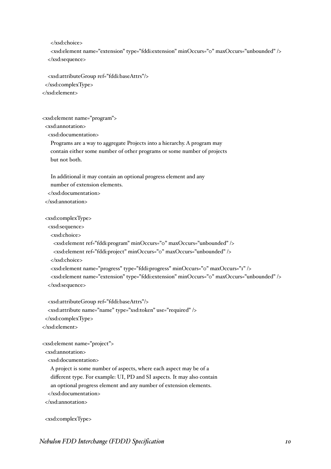</xsd:choice>

 <xsd:element name="extension" type="fddi:extension" minOccurs="0" maxOccurs="unbounded" /> </xsd:sequence>

 <xsd:attributeGroup ref="fddi:baseAttrs"/> </xsd:complexType>

</xsd:element>

<xsd:element name="program">

<xsd:annotation>

<xsd:documentation>

 Programs are a way to aggregate Projects into a hierarchy. A program may contain either some number of other programs or some number of projects but not both.

 In additional it may contain an optional progress element and any number of extension elements. </xsd:documentation>

</xsd:annotation>

<xsd:complexType>

<xsd:sequence>

<xsd:choice>

```
 <xsd:element ref="fddi:program" minOccurs="0" maxOccurs="unbounded" />
```
<xsd:element ref="fddi:project" minOccurs="0" maxOccurs="unbounded" />

</xsd:choice>

<xsd:element name="progress" type="fddi:progress" minOccurs="0" maxOccurs="1" />

 <xsd:element name="extension" type="fddi:extension" minOccurs="0" maxOccurs="unbounded" /> </xsd:sequence>

 <xsd:attributeGroup ref="fddi:baseAttrs"/> <xsd:attribute name="name" type="xsd:token" use="required" />

</xsd:complexType>

</xsd:element>

<xsd:element name="project">

```
 <xsd:annotation>
```
<xsd:documentation>

A project is some number of aspects, where each aspect may be of a

different type. For example: UI, PD and SI aspects. It may also contain

an optional progress element and any number of extension elements.

</xsd:documentation>

</xsd:annotation>

<xsd:complexType>

*Nebulon FDD Interchange (FDDI) Specification 10*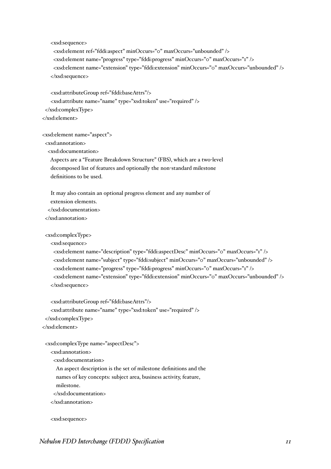<xsd:sequence>

 <xsd:element ref="fddi:aspect" minOccurs="0" maxOccurs="unbounded" /> <xsd:element name="progress" type="fddi:progress" minOccurs="0" maxOccurs="1" /> <xsd:element name="extension" type="fddi:extension" minOccurs="0" maxOccurs="unbounded" /> </xsd:sequence>

 <xsd:attributeGroup ref="fddi:baseAttrs"/> <xsd:attribute name="name" type="xsd:token" use="required" /> </xsd:complexType> </xsd:element>

<xsd:element name="aspect">

<xsd:annotation>

<xsd:documentation>

 Aspects are a "Feature Breakdown Structure" (FBS), which are a two-level decomposed list of features and optionally the non-standard milestone definitions to be used.

 It may also contain an optional progress element and any number of extension elements. </xsd:documentation>

</xsd:annotation>

<xsd:complexType>

<xsd:sequence>

 <xsd:element name="description" type="fddi:aspectDesc" minOccurs="0" maxOccurs="1" /> <xsd:element name="subject" type="fddi:subject" minOccurs="0" maxOccurs="unbounded" /> <xsd:element name="progress" type="fddi:progress" minOccurs="0" maxOccurs="1" /> <xsd:element name="extension" type="fddi:extension" minOccurs="0" maxOccurs="unbounded" /> </xsd:sequence>

 <xsd:attributeGroup ref="fddi:baseAttrs"/> <xsd:attribute name="name" type="xsd:token" use="required" /> </xsd:complexType> </xsd:element>

```
 <xsd:complexType name="aspectDesc">
```

```
 <xsd:annotation>
```
<xsd:documentation>

An aspect description is the set of milestone definitions and the

names of key concepts: subject area, business activity, feature,

milestone.

</xsd:documentation>

</xsd:annotation>

<xsd:sequence>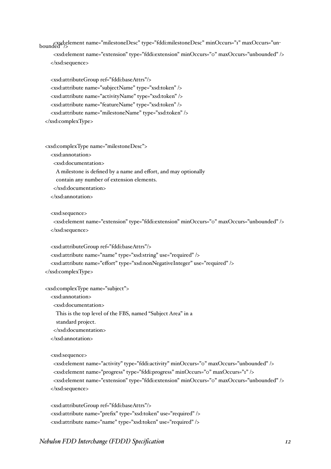<xsd:element name="milestoneDesc" type="fddi:milestoneDesc" minOccurs="1" maxOccurs="un- bounded" />

 <xsd:element name="extension" type="fddi:extension" minOccurs="0" maxOccurs="unbounded" /> </xsd:sequence>

 <xsd:attributeGroup ref="fddi:baseAttrs"/> <xsd:attribute name="subjectName" type="xsd:token" /> <xsd:attribute name="activityName" type="xsd:token" /> <xsd:attribute name="featureName" type="xsd:token" /> <xsd:attribute name="milestoneName" type="xsd:token" /> </xsd:complexType>

<xsd:complexType name="milestoneDesc">

<xsd:annotation>

<xsd:documentation>

A milestone is defined by a name and effort, and may optionally

contain any number of extension elements.

</xsd:documentation>

</xsd:annotation>

<xsd:sequence>

 <xsd:element name="extension" type="fddi:extension" minOccurs="0" maxOccurs="unbounded" /> </xsd:sequence>

<xsd:attributeGroup ref="fddi:baseAttrs"/>

<xsd:attribute name="name" type="xsd:string" use="required" />

<xsd:attribute name="effort" type="xsd:nonNegativeInteger" use="required" />

</xsd:complexType>

<xsd:complexType name="subject">

<xsd:annotation>

<xsd:documentation>

This is the top level of the FBS, named "Subject Area" in a

standard project.

</xsd:documentation>

</xsd:annotation>

<xsd:sequence>

 <xsd:element name="activity" type="fddi:activity" minOccurs="0" maxOccurs="unbounded" /> <xsd:element name="progress" type="fddi:progress" minOccurs="0" maxOccurs="1" /> <xsd:element name="extension" type="fddi:extension" minOccurs="0" maxOccurs="unbounded" /> </xsd:sequence>

 <xsd:attributeGroup ref="fddi:baseAttrs"/> <xsd:attribute name="prefix" type="xsd:token" use="required" /> <xsd:attribute name="name" type="xsd:token" use="required" />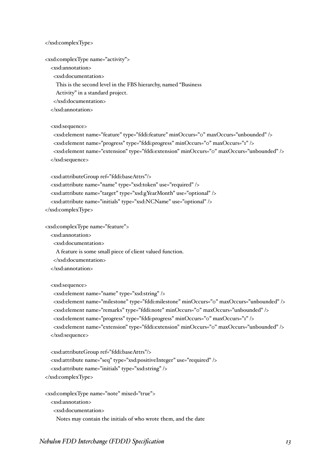</xsd:complexType>

<xsd:complexType name="activity">

<xsd:annotation>

<xsd:documentation>

This is the second level in the FBS hierarchy, named "Business

Activity" in a standard project.

</xsd:documentation>

</xsd:annotation>

<xsd:sequence>

 <xsd:element name="feature" type="fddi:feature" minOccurs="0" maxOccurs="unbounded" /> <xsd:element name="progress" type="fddi:progress" minOccurs="0" maxOccurs="1" /> <xsd:element name="extension" type="fddi:extension" minOccurs="0" maxOccurs="unbounded" /> </xsd:sequence>

<xsd:attributeGroup ref="fddi:baseAttrs"/>

<xsd:attribute name="name" type="xsd:token" use="required" />

<xsd:attribute name="target" type="xsd:gYearMonth" use="optional" />

<xsd:attribute name="initials" type="xsd:NCName" use="optional" />

</xsd:complexType>

<xsd:complexType name="feature">

<xsd:annotation>

<xsd:documentation>

A feature is some small piece of client valued function.

</xsd:documentation>

</xsd:annotation>

<xsd:sequence>

<xsd:element name="name" type="xsd:string" />

 <xsd:element name="milestone" type="fddi:milestone" minOccurs="0" maxOccurs="unbounded" /> <xsd:element name="remarks" type="fddi:note" minOccurs="0" maxOccurs="unbounded" />

<xsd:element name="progress" type="fddi:progress" minOccurs="0" maxOccurs="1" />

 <xsd:element name="extension" type="fddi:extension" minOccurs="0" maxOccurs="unbounded" /> </xsd:sequence>

 <xsd:attributeGroup ref="fddi:baseAttrs"/> <xsd:attribute name="seq" type="xsd:positiveInteger" use="required" /> <xsd:attribute name="initials" type="xsd:string" /> </xsd:complexType>

 <xsd:complexType name="note" mixed="true"> <xsd:annotation> <xsd:documentation> Notes may contain the initials of who wrote them, and the date

*Nebulon FDD Interchange (FDDI) Specification 13*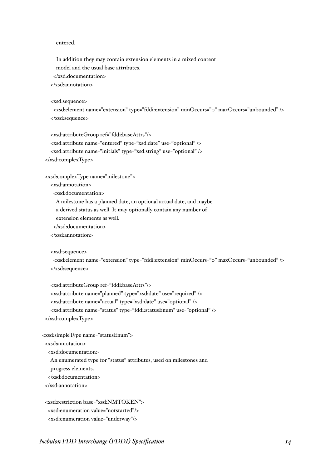#### entered.

 In addition they may contain extension elements in a mixed content model and the usual base attributes.

 </xsd:documentation> </xsd:annotation>

<xsd:sequence>

 <xsd:element name="extension" type="fddi:extension" minOccurs="0" maxOccurs="unbounded" /> </xsd:sequence>

<xsd:attributeGroup ref="fddi:baseAttrs"/>

 <xsd:attribute name="entered" type="xsd:date" use="optional" /> <xsd:attribute name="initials" type="xsd:string" use="optional" />

</xsd:complexType>

<xsd:complexType name="milestone">

<xsd:annotation>

<xsd:documentation>

A milestone has a planned date, an optional actual date, and maybe

a derived status as well. It may optionally contain any number of

extension elements as well.

</xsd:documentation>

</xsd:annotation>

<xsd:sequence>

```
 <xsd:element name="extension" type="fddi:extension" minOccurs="0" maxOccurs="unbounded" />
 </xsd:sequence>
```
 <xsd:attributeGroup ref="fddi:baseAttrs"/> <xsd:attribute name="planned" type="xsd:date" use="required" /> <xsd:attribute name="actual" type="xsd:date" use="optional" /> <xsd:attribute name="status" type="fddi:statusEnum" use="optional" /> </xsd:complexType>

```
 <xsd:simpleType name="statusEnum">
  <xsd:annotation>
```
<xsd:documentation>

An enumerated type for "status" attributes, used on milestones and

progress elements.

</xsd:documentation>

</xsd:annotation>

 <xsd:restriction base="xsd:NMTOKEN"> <xsd:enumeration value="notstarted"/> <xsd:enumeration value="underway"/>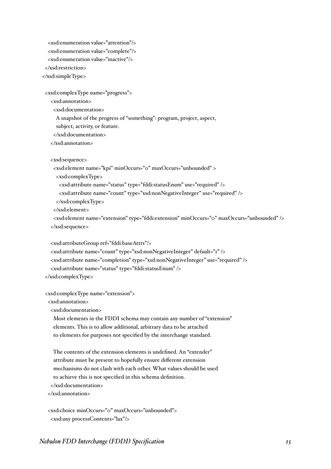```
 <xsd:enumeration value="attention"/>
   <xsd:enumeration value="complete"/>
   <xsd:enumeration value="inactive"/>
  </xsd:restriction>
 </xsd:simpleType>
```
<xsd:complexType name="progress">

<xsd:annotation>

<xsd:documentation>

A snapshot of the progress of "something": program, project, aspect,

subject, activity, or feature.

</xsd:documentation>

</xsd:annotation>

<xsd:sequence>

<xsd:element name="kpi" minOccurs="0" maxOccurs="unbounded" >

<xsd:complexType>

<xsd:attribute name="status" type="fddi:statusEnum" use="required" />

<xsd:attribute name="count" type="xsd:nonNegativeInteger" use="required" />

</xsd:complexType>

</xsd:element>

 <xsd:element name="extension" type="fddi:extension" minOccurs="0" maxOccurs="unbounded" /> </xsd:sequence>

<xsd:attributeGroup ref="fddi:baseAttrs"/>

<xsd:attribute name="count" type="xsd:nonNegativeInteger" default="1" />

<xsd:attribute name="completion" type="xsd:nonNegativeInteger" use="required" />

<xsd:attribute name="status" type="fddi:statusEnum" />

</xsd:complexType>

<xsd:complexType name="extension">

<xsd:annotation>

<xsd:documentation>

 Most elements in the FDDI schema may contain any number of "extension" elements. This is to allow additional, arbitrary data to be attached to elements for purposes not specified by the interchange standard.

 The contents of the extension elements is undefined. An "extender" attribute must be present to hopefully ensure different extension mechanisms do not clash with each other. What values should be used to achieve this is not specified in this schema definition. </xsd:documentation>

</xsd:annotation>

 <xsd:choice minOccurs="0" maxOccurs="unbounded"> <xsd:any processContents="lax"/>